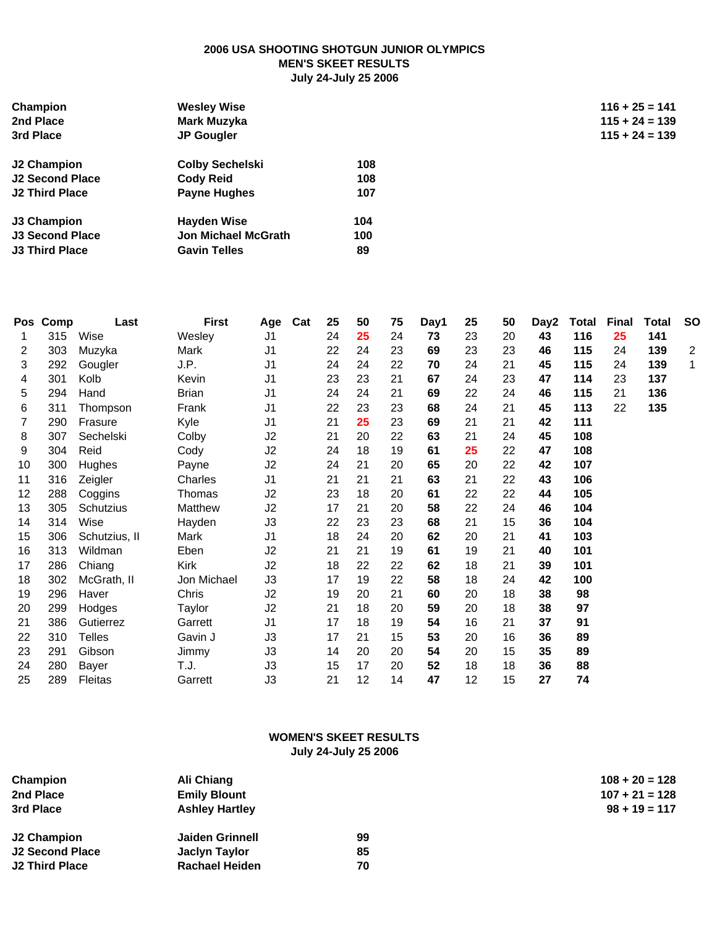#### **2006 USA SHOOTING SHOTGUN JUNIOR OLYMPICS MEN'S SKEET RESULTS July 24-July 25 2006**

| Champion               | <b>Wesley Wise</b>         |     | $116 + 25 = 141$ |
|------------------------|----------------------------|-----|------------------|
| 2nd Place              | Mark Muzyka                |     | $115 + 24 = 139$ |
| 3rd Place              | <b>JP Gougler</b>          |     | $115 + 24 = 139$ |
| J2 Champion            | <b>Colby Sechelski</b>     | 108 |                  |
| J2 Second Place        | <b>Cody Reid</b>           | 108 |                  |
| <b>J2 Third Place</b>  | <b>Payne Hughes</b>        | 107 |                  |
| J3 Champion            | <b>Hayden Wise</b>         | 104 |                  |
| <b>J3 Second Place</b> | <b>Jon Michael McGrath</b> | 100 |                  |
| J3 Third Place         | <b>Gavin Telles</b>        | 89  |                  |

| <b>Pos</b>        | Comp | Last          | <b>First</b> | Age            | Cat | 25 | 50 | 75 | Day1 | 25 | 50 | Day2 | <b>Total</b> | <b>Final</b> | Total | <b>SO</b>      |
|-------------------|------|---------------|--------------|----------------|-----|----|----|----|------|----|----|------|--------------|--------------|-------|----------------|
| 1                 | 315  | Wise          | Wesley       | J <sub>1</sub> |     | 24 | 25 | 24 | 73   | 23 | 20 | 43   | 116          | 25           | 141   |                |
| 2                 | 303  | Muzyka        | Mark         | J1             |     | 22 | 24 | 23 | 69   | 23 | 23 | 46   | 115          | 24           | 139   | $\overline{c}$ |
| 3                 | 292  | Gougler       | J.P.         | J1             |     | 24 | 24 | 22 | 70   | 24 | 21 | 45   | 115          | 24           | 139   | $\mathbf 1$    |
| 4                 | 301  | Kolb          | Kevin        | J1             |     | 23 | 23 | 21 | 67   | 24 | 23 | 47   | 114          | 23           | 137   |                |
| 5                 | 294  | Hand          | <b>Brian</b> | J1             |     | 24 | 24 | 21 | 69   | 22 | 24 | 46   | 115          | 21           | 136   |                |
| 6                 | 311  | Thompson      | Frank        | J1             |     | 22 | 23 | 23 | 68   | 24 | 21 | 45   | 113          | 22           | 135   |                |
| 7                 | 290  | Frasure       | Kyle         | J <sub>1</sub> |     | 21 | 25 | 23 | 69   | 21 | 21 | 42   | 111          |              |       |                |
| 8                 | 307  | Sechelski     | Colby        | J2             |     | 21 | 20 | 22 | 63   | 21 | 24 | 45   | 108          |              |       |                |
| 9                 | 304  | Reid          | Cody         | J2             |     | 24 | 18 | 19 | 61   | 25 | 22 | 47   | 108          |              |       |                |
| 10                | 300  | Hughes        | Payne        | J2             |     | 24 | 21 | 20 | 65   | 20 | 22 | 42   | 107          |              |       |                |
| 11                | 316  | Zeigler       | Charles      | J1             |     | 21 | 21 | 21 | 63   | 21 | 22 | 43   | 106          |              |       |                |
| $12 \overline{ }$ | 288  | Coggins       | Thomas       | J2             |     | 23 | 18 | 20 | 61   | 22 | 22 | 44   | 105          |              |       |                |
| 13                | 305  | Schutzius     | Matthew      | J2             |     | 17 | 21 | 20 | 58   | 22 | 24 | 46   | 104          |              |       |                |
| 14                | 314  | Wise          | Hayden       | J3             |     | 22 | 23 | 23 | 68   | 21 | 15 | 36   | 104          |              |       |                |
| 15                | 306  | Schutzius, II | Mark         | J <sub>1</sub> |     | 18 | 24 | 20 | 62   | 20 | 21 | 41   | 103          |              |       |                |
| 16                | 313  | Wildman       | Eben         | J2             |     | 21 | 21 | 19 | 61   | 19 | 21 | 40   | 101          |              |       |                |
| 17                | 286  | Chiang        | Kirk         | J2             |     | 18 | 22 | 22 | 62   | 18 | 21 | 39   | 101          |              |       |                |
| 18                | 302  | McGrath, II   | Jon Michael  | J3             |     | 17 | 19 | 22 | 58   | 18 | 24 | 42   | 100          |              |       |                |
| 19                | 296  | Haver         | Chris        | J2             |     | 19 | 20 | 21 | 60   | 20 | 18 | 38   | 98           |              |       |                |
| 20                | 299  | Hodges        | Taylor       | J2             |     | 21 | 18 | 20 | 59   | 20 | 18 | 38   | 97           |              |       |                |
| 21                | 386  | Gutierrez     | Garrett      | J <sub>1</sub> |     | 17 | 18 | 19 | 54   | 16 | 21 | 37   | 91           |              |       |                |
| 22                | 310  | <b>Telles</b> | Gavin J      | J3             |     | 17 | 21 | 15 | 53   | 20 | 16 | 36   | 89           |              |       |                |
| 23                | 291  | Gibson        | Jimmy        | J3             |     | 14 | 20 | 20 | 54   | 20 | 15 | 35   | 89           |              |       |                |
| 24                | 280  | Bayer         | T.J.         | J3             |     | 15 | 17 | 20 | 52   | 18 | 18 | 36   | 88           |              |       |                |
| 25                | 289  | Fleitas       | Garrett      | J3             |     | 21 | 12 | 14 | 47   | 12 | 15 | 27   | 74           |              |       |                |
|                   |      |               |              |                |     |    |    |    |      |    |    |      |              |              |       |                |

### **WOMEN'S SKEET RESULTS July 24-July 25 2006**

| Champion<br>Ali Chiang<br>2nd Place<br><b>Emily Blount</b><br>3rd Place<br><b>Ashley Hartley</b> |                        |    | $108 + 20 = 128$<br>$107 + 21 = 128$<br>$98 + 19 = 117$ |
|--------------------------------------------------------------------------------------------------|------------------------|----|---------------------------------------------------------|
| J2 Champion                                                                                      | <b>Jaiden Grinnell</b> | 99 |                                                         |
| J2 Second Place                                                                                  | Jaclyn Taylor          | 85 |                                                         |
| J2 Third Place                                                                                   | <b>Rachael Heiden</b>  | 70 |                                                         |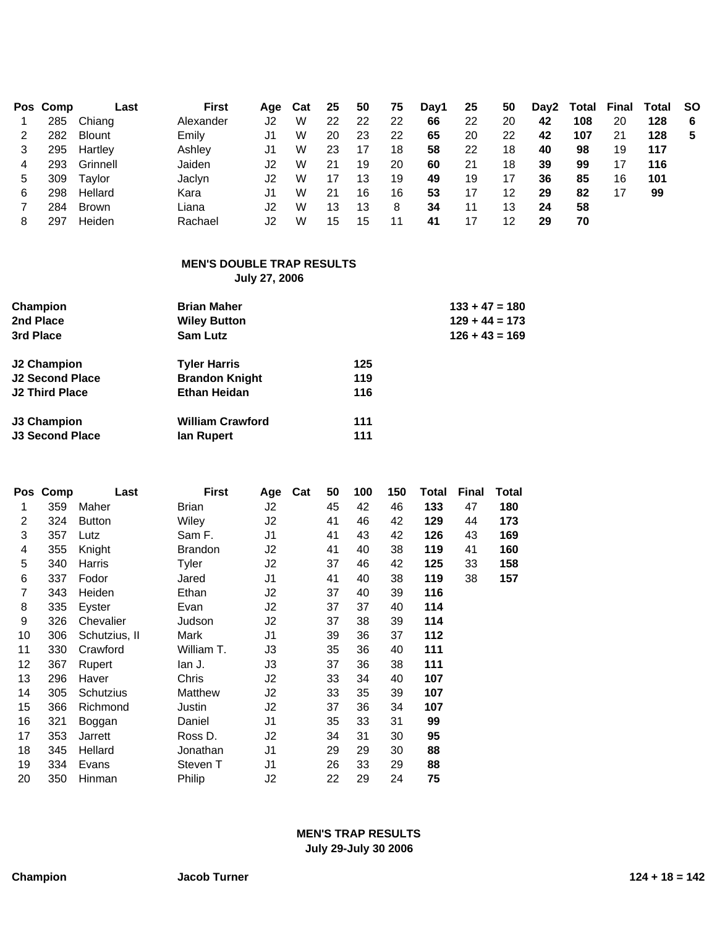|   | Pos Comp | Last          | First     | Aqe | Cat | 25 | 50 | 75 | Day1 | 25 | 50 | Day2 | Total | Final | Total SO |    |
|---|----------|---------------|-----------|-----|-----|----|----|----|------|----|----|------|-------|-------|----------|----|
|   | 285      | Chiang        | Alexander | J2  | W   | 22 | 22 | 22 | 66   | 22 | 20 | 42   | 108   | 20    | 128      | -6 |
|   | 282      | <b>Blount</b> | Emily     | J1  | W   | 20 | 23 | 22 | 65   | 20 | 22 | 42   | 107   | 21    | 128      | 5  |
|   | 295      | Hartley       | Ashley    | J1  | W   | 23 | 17 | 18 | 58   | 22 | 18 | 40   | 98    | 19    | 117      |    |
|   | 293      | Grinnell      | Jaiden    | J2  | W   | 21 | 19 | 20 | 60   | 21 | 18 | 39   | 99    | 17    | 116      |    |
| 5 | 309      | Taylor        | Jaclyn    | J2  | W   |    | 13 | 19 | 49   | 19 | 17 | 36   | 85    | 16    | 101      |    |
| 6 | 298      | Hellard       | Kara      | J1. | W   | 21 | 16 | 16 | 53   | 17 | 12 | 29   | 82    | 17    | 99       |    |
|   | 284      | <b>Brown</b>  | Liana     | J2  | W   | 13 | 13 | 8  | 34   | 11 | 13 | 24   | 58    |       |          |    |
| 8 | 297      | Heiden        | Rachael   | J2. | W   | 15 | 15 | 11 | 41   |    | 12 | 29   | 70    |       |          |    |

# **MEN'S DOUBLE TRAP RESULTS**

**July 27, 2006**

| Champion<br>2nd Place<br>3rd Place | <b>Brian Maher</b><br><b>Wiley Button</b><br>Sam Lutz | $133 + 47 = 180$<br>$129 + 44 = 173$<br>$126 + 43 = 169$ |
|------------------------------------|-------------------------------------------------------|----------------------------------------------------------|
| J <sub>2</sub> Champion            | <b>Tyler Harris</b>                                   | 125                                                      |
| J2 Second Place                    | <b>Brandon Knight</b>                                 | 119                                                      |
| <b>J2 Third Place</b>              | <b>Ethan Heidan</b>                                   | 116                                                      |
| J3 Champion                        | <b>William Crawford</b>                               | 111                                                      |
| <b>J3 Second Place</b>             | lan Rupert                                            | 111                                                      |

| Pos            | Comp | Last          | First          | Age            | Cat | 50 | 100 | 150 | Total | <b>Final</b> | <b>Total</b> |
|----------------|------|---------------|----------------|----------------|-----|----|-----|-----|-------|--------------|--------------|
| 1              | 359  | Maher         | Brian          | J2             |     | 45 | 42  | 46  | 133   | 47           | 180          |
| 2              | 324  | <b>Button</b> | Wiley          | J2             |     | 41 | 46  | 42  | 129   | 44           | 173          |
| 3              | 357  | Lutz          | Sam F.         | J1             |     | 41 | 43  | 42  | 126   | 43           | 169          |
| 4              | 355  | Knight        | <b>Brandon</b> | J2             |     | 41 | 40  | 38  | 119   | 41           | 160          |
| 5              | 340  | Harris        | Tyler          | J2             |     | 37 | 46  | 42  | 125   | 33           | 158          |
| 6              | 337  | Fodor         | Jared          | J <sub>1</sub> |     | 41 | 40  | 38  | 119   | 38           | 157          |
| $\overline{7}$ | 343  | Heiden        | Ethan          | J2             |     | 37 | 40  | 39  | 116   |              |              |
| 8              | 335  | Eyster        | Evan           | J2             |     | 37 | 37  | 40  | 114   |              |              |
| 9              | 326  | Chevalier     | Judson         | J2             |     | 37 | 38  | 39  | 114   |              |              |
| 10             | 306  | Schutzius, II | Mark           | J <sub>1</sub> |     | 39 | 36  | 37  | 112   |              |              |
| 11             | 330  | Crawford      | William T.     | JЗ             |     | 35 | 36  | 40  | 111   |              |              |
| 12             | 367  | Rupert        | lan J.         | JЗ             |     | 37 | 36  | 38  | 111   |              |              |
| 13             | 296  | Haver         | Chris          | J2             |     | 33 | 34  | 40  | 107   |              |              |
| 14             | 305  | Schutzius     | Matthew        | J2             |     | 33 | 35  | 39  | 107   |              |              |
| 15             | 366  | Richmond      | Justin         | J2             |     | 37 | 36  | 34  | 107   |              |              |
| 16             | 321  | Boggan        | Daniel         | J1             |     | 35 | 33  | 31  | 99    |              |              |
| 17             | 353  | Jarrett       | Ross D.        | J2             |     | 34 | 31  | 30  | 95    |              |              |
| 18             | 345  | Hellard       | Jonathan       | J1             |     | 29 | 29  | 30  | 88    |              |              |
| 19             | 334  | Evans         | Steven T       | J1             |     | 26 | 33  | 29  | 88    |              |              |
| 20             | 350  | Hinman        | Philip         | J2             |     | 22 | 29  | 24  | 75    |              |              |

## **MEN'S TRAP RESULTS July 29-July 30 2006**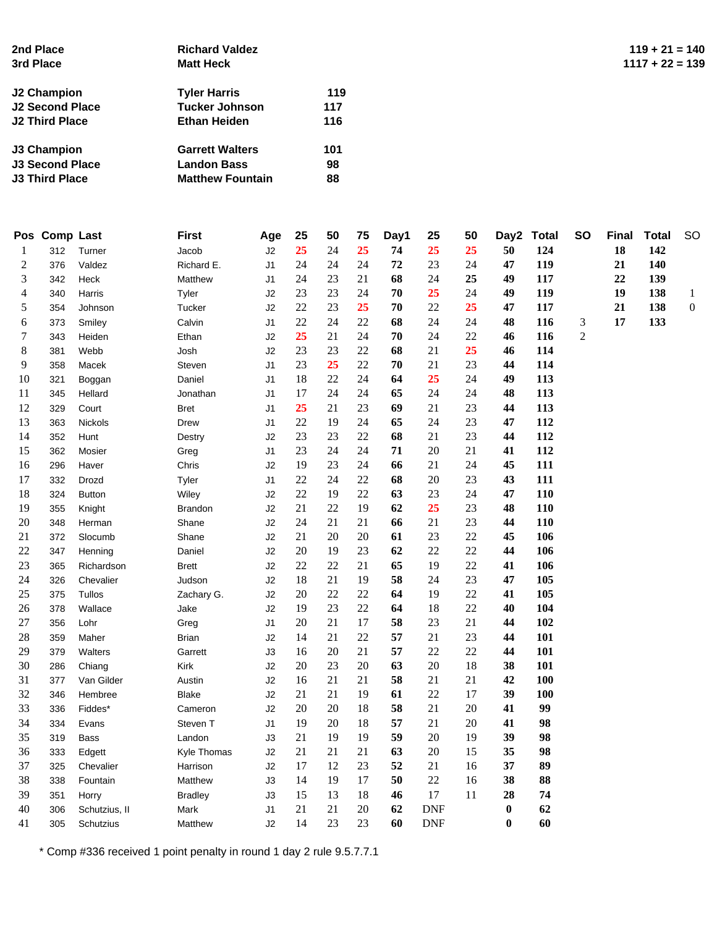| 2nd Place<br>3rd Place | <b>Richard Valdez</b><br><b>Matt Heck</b> |     | $119 + 21 = 140$<br>$1117 + 22 = 139$ |
|------------------------|-------------------------------------------|-----|---------------------------------------|
| J2 Champion            | <b>Tyler Harris</b>                       | 119 |                                       |
| J2 Second Place        | <b>Tucker Johnson</b>                     | 117 |                                       |
| <b>J2 Third Place</b>  | <b>Ethan Heiden</b>                       | 116 |                                       |
| J3 Champion            | <b>Garrett Walters</b>                    | 101 |                                       |
| <b>J3 Second Place</b> | <b>Landon Bass</b>                        | 98  |                                       |
| <b>J3 Third Place</b>  | <b>Matthew Fountain</b>                   | 88  |                                       |

|        | Pos Comp Last |               | <b>First</b>   | Age            | 25     | 50     | 75     | Day1 | 25         | 50     | Day2     | <b>Total</b> | <b>SO</b>      | <b>Final</b> | <b>Total</b> | <b>SO</b>        |
|--------|---------------|---------------|----------------|----------------|--------|--------|--------|------|------------|--------|----------|--------------|----------------|--------------|--------------|------------------|
| 1      | 312           | Turner        | Jacob          | J2             | 25     | 24     | 25     | 74   | 25         | 25     | 50       | 124          |                | 18           | 142          |                  |
| 2      | 376           | Valdez        | Richard E.     | J1             | 24     | 24     | 24     | 72   | 23         | 24     | 47       | 119          |                | 21           | 140          |                  |
| 3      | 342           | Heck          | Matthew        | J1             | 24     | 23     | 21     | 68   | 24         | 25     | 49       | 117          |                | 22           | 139          |                  |
| 4      | 340           | Harris        | Tyler          | J2             | 23     | 23     | 24     | 70   | 25         | 24     | 49       | 119          |                | 19           | 138          | $\mathbf{1}$     |
| 5      | 354           | Johnson       | Tucker         | J2             | $22\,$ | 23     | 25     | 70   | 22         | 25     | 47       | 117          |                | 21           | 138          | $\boldsymbol{0}$ |
| 6      | 373           | Smiley        | Calvin         | J1             | 22     | 24     | 22     | 68   | 24         | 24     | 48       | <b>116</b>   | 3              | 17           | 133          |                  |
| 7      | 343           | Heiden        | Ethan          | J <sub>2</sub> | 25     | 21     | 24     | 70   | 24         | 22     | 46       | 116          | $\overline{2}$ |              |              |                  |
| 8      | 381           | Webb          | Josh           | J2             | 23     | 23     | 22     | 68   | 21         | 25     | 46       | 114          |                |              |              |                  |
| 9      | 358           | Macek         | Steven         | J <sub>1</sub> | 23     | 25     | 22     | 70   | 21         | 23     | 44       | 114          |                |              |              |                  |
| 10     | 321           | Boggan        | Daniel         | J <sub>1</sub> | 18     | $22\,$ | 24     | 64   | 25         | 24     | 49       | 113          |                |              |              |                  |
| 11     | 345           | Hellard       | Jonathan       | J1             | 17     | 24     | 24     | 65   | 24         | 24     | 48       | 113          |                |              |              |                  |
| 12     | 329           | Court         | <b>Bret</b>    | J <sub>1</sub> | 25     | 21     | 23     | 69   | 21         | 23     | 44       | 113          |                |              |              |                  |
| 13     | 363           | Nickols       | Drew           | J1             | 22     | 19     | 24     | 65   | 24         | 23     | 47       | 112          |                |              |              |                  |
| 14     | 352           | Hunt          | Destry         | J2             | 23     | 23     | $22\,$ | 68   | 21         | 23     | 44       | 112          |                |              |              |                  |
| 15     | 362           | Mosier        | Greg           | J1             | 23     | 24     | 24     | 71   | 20         | 21     | 41       | 112          |                |              |              |                  |
| 16     | 296           | Haver         | Chris          | J <sub>2</sub> | 19     | 23     | 24     | 66   | 21         | 24     | 45       | 111          |                |              |              |                  |
| 17     | 332           | Drozd         | Tyler          | J1             | 22     | 24     | 22     | 68   | 20         | 23     | 43       | 111          |                |              |              |                  |
| 18     | 324           | <b>Button</b> | Wiley          | J2             | 22     | 19     | 22     | 63   | 23         | 24     | 47       | 110          |                |              |              |                  |
| 19     | 355           | Knight        | <b>Brandon</b> | J2             | 21     | $22\,$ | 19     | 62   | 25         | 23     | 48       | 110          |                |              |              |                  |
| 20     | 348           | Herman        | Shane          | J2             | 24     | 21     | 21     | 66   | 21         | 23     | 44       | 110          |                |              |              |                  |
| 21     | 372           | Slocumb       | Shane          | J <sub>2</sub> | 21     | 20     | 20     | 61   | 23         | 22     | 45       | 106          |                |              |              |                  |
| 22     | 347           | Henning       | Daniel         | J2             | 20     | 19     | 23     | 62   | 22         | 22     | 44       | 106          |                |              |              |                  |
| 23     | 365           | Richardson    | <b>Brett</b>   | J2             | 22     | $22\,$ | 21     | 65   | 19         | $22\,$ | 41       | 106          |                |              |              |                  |
| 24     | 326           | Chevalier     | Judson         | J2             | 18     | 21     | 19     | 58   | 24         | 23     | 47       | 105          |                |              |              |                  |
| 25     | 375           | Tullos        | Zachary G.     | J <sub>2</sub> | 20     | 22     | 22     | 64   | 19         | 22     | 41       | 105          |                |              |              |                  |
| 26     | 378           | Wallace       | Jake           | J <sub>2</sub> | 19     | 23     | 22     | 64   | 18         | 22     | 40       | 104          |                |              |              |                  |
| 27     | 356           | Lohr          | Greg           | J1             | 20     | 21     | 17     | 58   | 23         | 21     | 44       | 102          |                |              |              |                  |
| $28\,$ | 359           | Maher         | Brian          | J2             | 14     | 21     | 22     | 57   | 21         | 23     | 44       | 101          |                |              |              |                  |
| 29     | 379           | Walters       | Garrett        | J3             | 16     | 20     | 21     | 57   | 22         | 22     | 44       | 101          |                |              |              |                  |
| 30     | 286           | Chiang        | Kirk           | J <sub>2</sub> | 20     | 23     | 20     | 63   | 20         | 18     | 38       | 101          |                |              |              |                  |
| 31     | 377           | Van Gilder    | Austin         | J2             | 16     | 21     | 21     | 58   | 21         | 21     | 42       | 100          |                |              |              |                  |
| 32     | 346           | Hembree       | Blake          | J2             | 21     | 21     | 19     | 61   | 22         | 17     | 39       | 100          |                |              |              |                  |
| 33     | 336           | Fiddes*       | Cameron        | J2             | 20     | $20\,$ | 18     | 58   | 21         | $20\,$ | 41       | 99           |                |              |              |                  |
| 34     | 334           | Evans         | Steven T       | J1             | 19     | 20     | 18     | 57   | 21         | 20     | 41       | 98           |                |              |              |                  |
| 35     | 319           | <b>Bass</b>   | Landon         | J3             | 21     | 19     | 19     | 59   | 20         | 19     | 39       | 98           |                |              |              |                  |
| 36     | 333           | Edgett        | Kyle Thomas    | J2             | 21     | 21     | 21     | 63   | 20         | 15     | 35       | 98           |                |              |              |                  |
| 37     | 325           | Chevalier     | Harrison       | J2             | 17     | 12     | 23     | 52   | 21         | 16     | 37       | 89           |                |              |              |                  |
| 38     | 338           | Fountain      | Matthew        | J3             | 14     | 19     | 17     | 50   | $22\,$     | 16     | 38       | 88           |                |              |              |                  |
| 39     | 351           | Horry         | Bradley        | J3             | 15     | 13     | 18     | 46   | 17         | 11     | 28       | 74           |                |              |              |                  |
| 40     | 306           | Schutzius, II | Mark           | J1             | 21     | 21     | 20     | 62   | <b>DNF</b> |        | $\bf{0}$ | 62           |                |              |              |                  |
| 41     | 305           | Schutzius     | Matthew        | J2             | 14     | 23     | 23     | 60   | <b>DNF</b> |        | $\bf{0}$ | 60           |                |              |              |                  |
|        |               |               |                |                |        |        |        |      |            |        |          |              |                |              |              |                  |

\* Comp #336 received 1 point penalty in round 1 day 2 rule 9.5.7.7.1